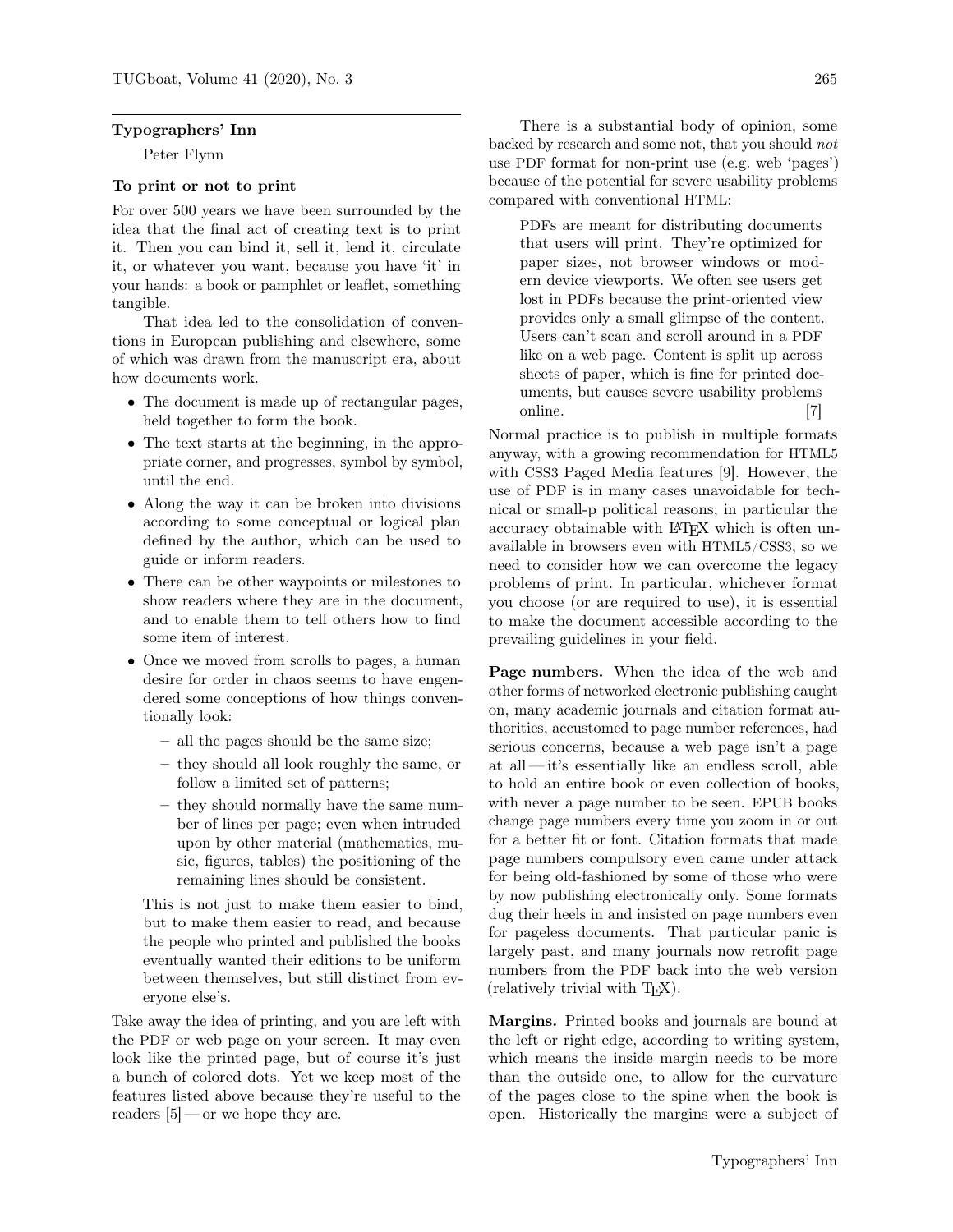#### Typographers' Inn

Peter Flynn

### To print or not to print

For over 500 years we have been surrounded by the idea that the final act of creating text is to print it. Then you can bind it, sell it, lend it, circulate it, or whatever you want, because you have 'it' in your hands: a book or pamphlet or leaflet, something tangible.

That idea led to the consolidation of conventions in European publishing and elsewhere, some of which was drawn from the manuscript era, about how documents work.

- The document is made up of rectangular pages, held together to form the book.
- The text starts at the beginning, in the appropriate corner, and progresses, symbol by symbol, until the end.
- Along the way it can be broken into divisions according to some conceptual or logical plan defined by the author, which can be used to guide or inform readers.
- There can be other waypoints or milestones to show readers where they are in the document, and to enable them to tell others how to find some item of interest.
- Once we moved from scrolls to pages, a human desire for order in chaos seems to have engendered some conceptions of how things conventionally look:
	- all the pages should be the same size;
	- they should all look roughly the same, or follow a limited set of patterns;
	- they should normally have the same number of lines per page; even when intruded upon by other material (mathematics, music, figures, tables) the positioning of the remaining lines should be consistent.

This is not just to make them easier to bind, but to make them easier to read, and because the people who printed and published the books eventually wanted their editions to be uniform between themselves, but still distinct from everyone else's.

Take away the idea of printing, and you are left with the PDF or web page on your screen. It may even look like the printed page, but of course it's just a bunch of colored dots. Yet we keep most of the features listed above because they're useful to the readers  $[5]$  — or we hope they are.

There is a substantial body of opinion, some backed by research and some not, that you should not use PDF format for non-print use (e.g. web 'pages') because of the potential for severe usability problems compared with conventional HTML:

PDFs are meant for distributing documents that users will print. They're optimized for paper sizes, not browser windows or modern device viewports. We often see users get lost in PDFs because the print-oriented view provides only a small glimpse of the content. Users can't scan and scroll around in a PDF like on a web page. Content is split up across sheets of paper, which is fine for printed documents, but causes severe usability problems online. [7]

Normal practice is to publish in multiple formats anyway, with a growing recommendation for HTML5 with CSS3 Paged Media features [9]. However, the use of PDF is in many cases unavoidable for technical or small-p political reasons, in particular the accuracy obtainable with LAT<sub>EX</sub> which is often unavailable in browsers even with HTML5/CSS3, so we need to consider how we can overcome the legacy problems of print. In particular, whichever format you choose (or are required to use), it is essential to make the document accessible according to the prevailing guidelines in your field.

Page numbers. When the idea of the web and other forms of networked electronic publishing caught on, many academic journals and citation format authorities, accustomed to page number references, had serious concerns, because a web page isn't a page at all— it's essentially like an endless scroll, able to hold an entire book or even collection of books, with never a page number to be seen. EPUB books change page numbers every time you zoom in or out for a better fit or font. Citation formats that made page numbers compulsory even came under attack for being old-fashioned by some of those who were by now publishing electronically only. Some formats dug their heels in and insisted on page numbers even for pageless documents. That particular panic is largely past, and many journals now retrofit page numbers from the PDF back into the web version (relatively trivial with TEX).

Margins. Printed books and journals are bound at the left or right edge, according to writing system, which means the inside margin needs to be more than the outside one, to allow for the curvature of the pages close to the spine when the book is open. Historically the margins were a subject of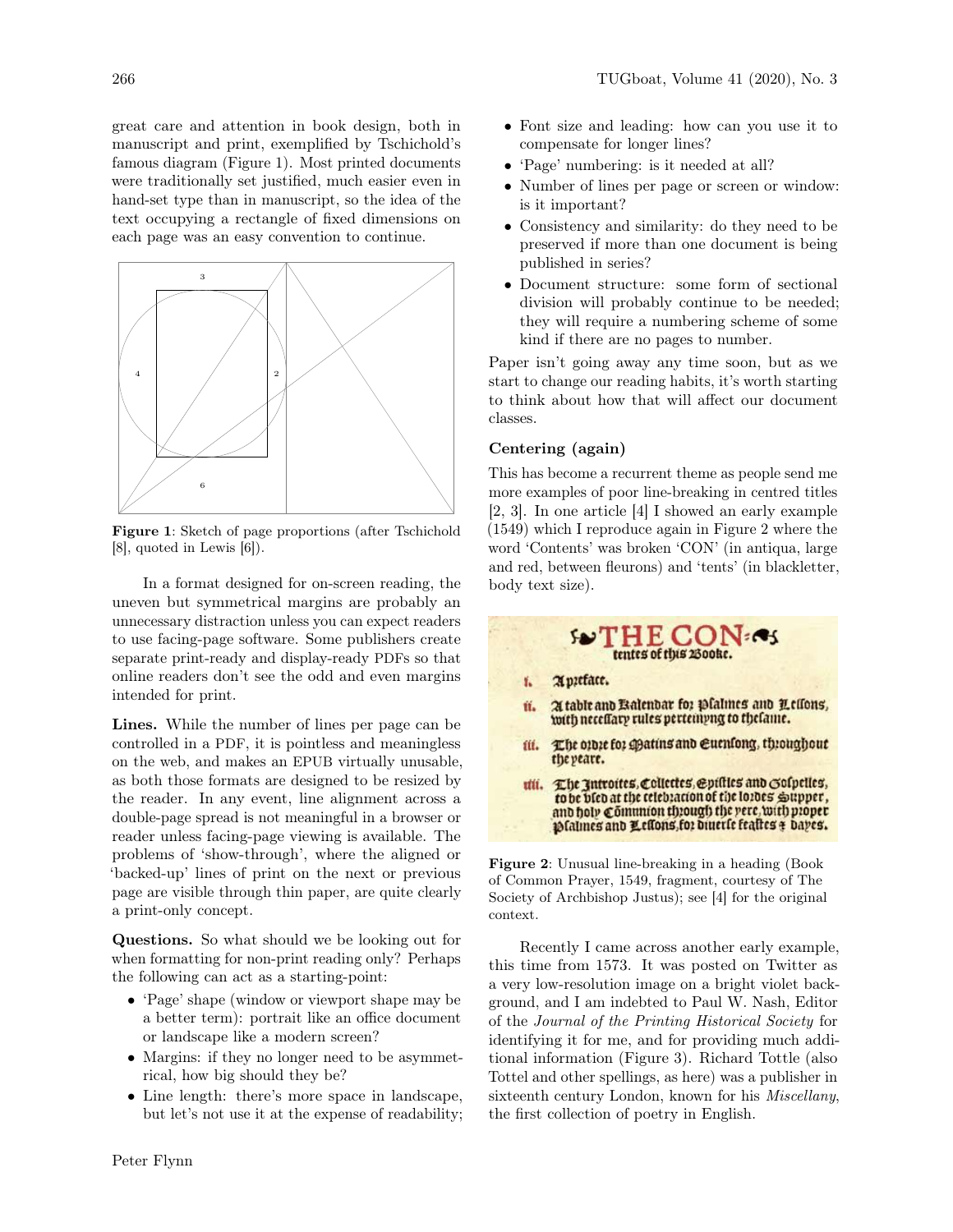great care and attention in book design, both in manuscript and print, exemplified by Tschichold's famous diagram (Figure 1). Most printed documents were traditionally set justified, much easier even in hand-set type than in manuscript, so the idea of the text occupying a rectangle of fixed dimensions on each page was an easy convention to continue.



Figure 1: Sketch of page proportions (after Tschichold [8], quoted in Lewis [6]).

In a format designed for on-screen reading, the uneven but symmetrical margins are probably an unnecessary distraction unless you can expect readers to use facing-page software. Some publishers create separate print-ready and display-ready PDFs so that online readers don't see the odd and even margins intended for print.

Lines. While the number of lines per page can be controlled in a PDF, it is pointless and meaningless on the web, and makes an EPUB virtually unusable, as both those formats are designed to be resized by the reader. In any event, line alignment across a double-page spread is not meaningful in a browser or reader unless facing-page viewing is available. The problems of 'show-through', where the aligned or 'backed-up' lines of print on the next or previous page are visible through thin paper, are quite clearly a print-only concept.

Questions. So what should we be looking out for when formatting for non-print reading only? Perhaps the following can act as a starting-point:

- 'Page' shape (window or viewport shape may be a better term): portrait like an office document or landscape like a modern screen?
- Margins: if they no longer need to be asymmetrical, how big should they be?
- Line length: there's more space in landscape, but let's not use it at the expense of readability;
- Font size and leading: how can you use it to compensate for longer lines?
- 'Page' numbering: is it needed at all?
- Number of lines per page or screen or window: is it important?
- Consistency and similarity: do they need to be preserved if more than one document is being published in series?
- Document structure: some form of sectional division will probably continue to be needed; they will require a numbering scheme of some kind if there are no pages to number.

Paper isn't going away any time soon, but as we start to change our reading habits, it's worth starting to think about how that will affect our document classes.

## Centering (again)

This has become a recurrent theme as people send me more examples of poor line-breaking in centred titles [2, 3]. In one article [4] I showed an early example (1549) which I reproduce again in Figure 2 where the word 'Contents' was broken 'CON' (in antiqua, large and red, between fleurons) and 'tents' (in blackletter, body text size).



Figure 2: Unusual line-breaking in a heading (Book of Common Prayer, 1549, fragment, courtesy of The Society of Archbishop Justus); see [4] for the original context.

Recently I came across another early example, this time from 1573. It was posted on Twitter as a very low-resolution image on a bright violet background, and I am indebted to Paul W. Nash, Editor of the Journal of the Printing Historical Society for identifying it for me, and for providing much additional information (Figure 3). Richard Tottle (also Tottel and other spellings, as here) was a publisher in sixteenth century London, known for his *Miscellany*, the first collection of poetry in English.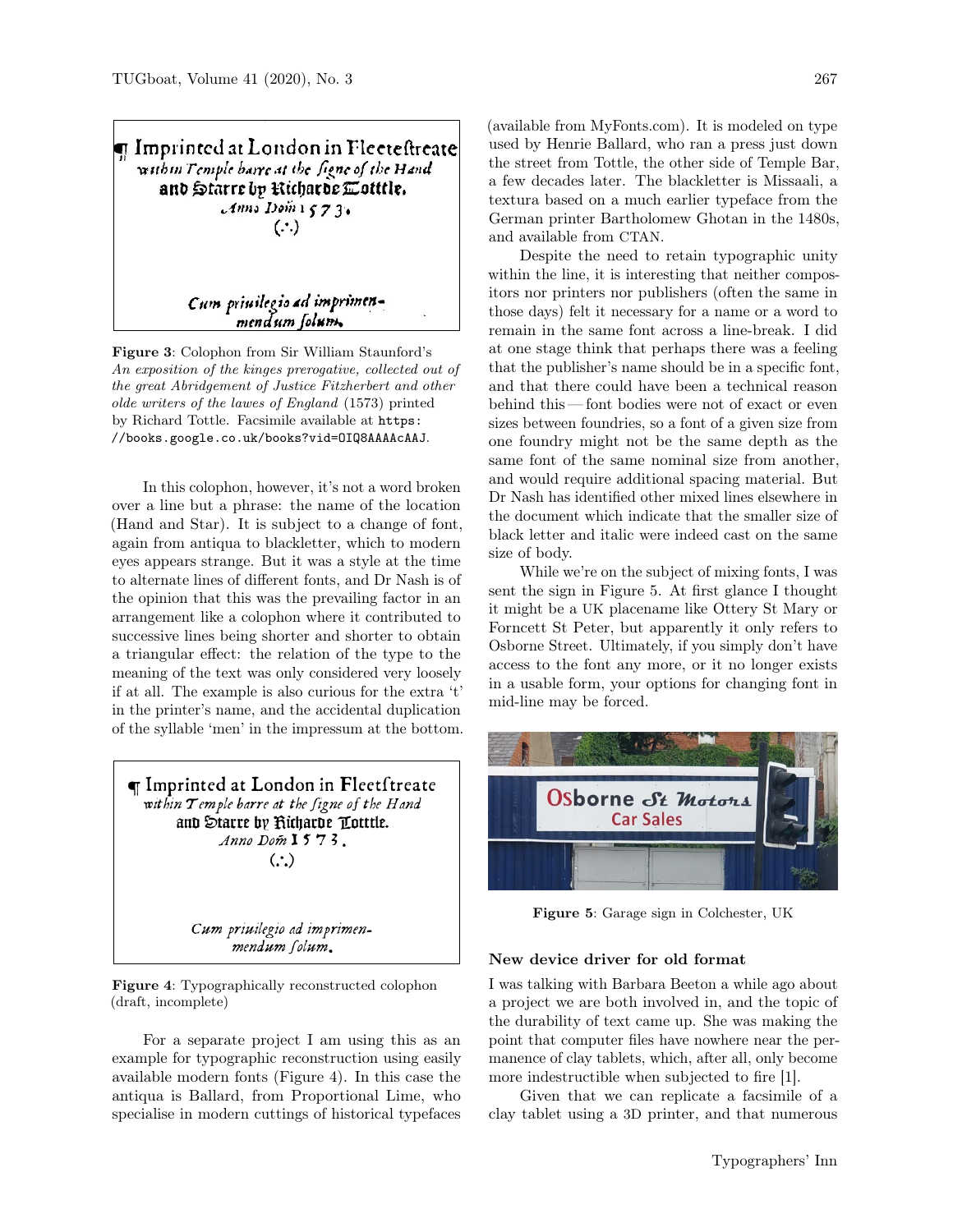T Imprinted at London in Flecteftreate within Temple barre at the figne of the Hand and Starre by Richarde Cottlie.  $Ann.$  Dom  $1573.$  $(\cdot)$ 

Cum priuilegio ad imprimen-<br>mendum folum.

Figure 3: Colophon from Sir William Staunford's An exposition of the kinges prerogative, collected out of the great Abridgement of Justice Fitzherbert and other olde writers of the lawes of England (1573) printed by Richard Tottle. Facsimile available at https: //books.google.co.uk/books?vid=OIQ8AAAAcAAJ.

In this colophon, however, it's not a word broken over a line but a phrase: the name of the location (Hand and Star). It is subject to a change of font, again from antiqua to blackletter, which to modern eyes appears strange. But it was a style at the time to alternate lines of different fonts, and Dr Nash is of the opinion that this was the prevailing factor in an arrangement like a colophon where it contributed to successive lines being shorter and shorter to obtain a triangular effect: the relation of the type to the meaning of the text was only considered very loosely if at all. The example is also curious for the extra 't' in the printer's name, and the accidental duplication of the syllable 'men' in the impressum at the bottom.

 $\P$  Imprinted at London in Fleetftreate within Temple barre at the figne of the Hand and Starre by Kicharde Totttle. Anno Dom 1573.  $\left(\cdot\right)$ 

> Cum priuilegio ad imprimenmendum folum.

Figure 4: Typographically reconstructed colophon (draft, incomplete)

For a separate project I am using this as an example for typographic reconstruction using easily available modern fonts (Figure 4). In this case the antiqua is Ballard, from Proportional Lime, who specialise in modern cuttings of historical typefaces

(available from MyFonts.com). It is modeled on type used by Henrie Ballard, who ran a press just down the street from Tottle, the other side of Temple Bar, a few decades later. The blackletter is Missaali, a textura based on a much earlier typeface from the German printer Bartholomew Ghotan in the 1480s, and available from CTAN.

Despite the need to retain typographic unity within the line, it is interesting that neither compositors nor printers nor publishers (often the same in those days) felt it necessary for a name or a word to remain in the same font across a line-break. I did at one stage think that perhaps there was a feeling that the publisher's name should be in a specific font, and that there could have been a technical reason behind this — font bodies were not of exact or even sizes between foundries, so a font of a given size from one foundry might not be the same depth as the same font of the same nominal size from another, and would require additional spacing material. But Dr Nash has identified other mixed lines elsewhere in the document which indicate that the smaller size of black letter and italic were indeed cast on the same size of body.

While we're on the subject of mixing fonts, I was sent the sign in Figure 5. At first glance I thought it might be a UK placename like Ottery St Mary or Forncett St Peter, but apparently it only refers to Osborne Street. Ultimately, if you simply don't have access to the font any more, or it no longer exists in a usable form, your options for changing font in mid-line may be forced.



Figure 5: Garage sign in Colchester, UK

#### New device driver for old format

I was talking with Barbara Beeton a while ago about a project we are both involved in, and the topic of the durability of text came up. She was making the point that computer files have nowhere near the permanence of clay tablets, which, after all, only become more indestructible when subjected to fire [1].

Given that we can replicate a facsimile of a clay tablet using a 3D printer, and that numerous